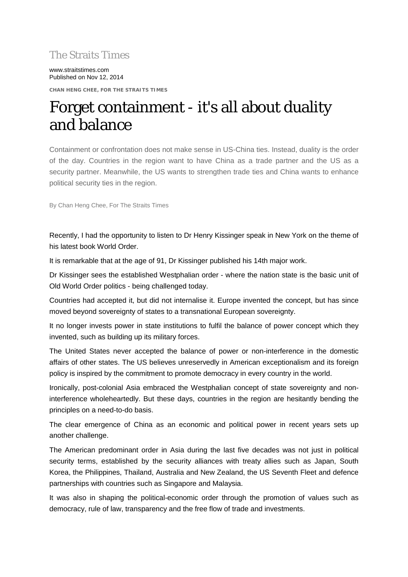# The Straits Times

www.straitstimes.com Published on Nov 12, 2014

**CHAN HENG CHEE, FOR THE STRAITS TIMES**

# Forget containment - it's all about duality and balance

Containment or confrontation does not make sense in US-China ties. Instead, duality is the order of the day. Countries in the region want to have China as a trade partner and the US as a security partner. Meanwhile, the US wants to strengthen trade ties and China wants to enhance political security ties in the region.

By Chan Heng Chee, For The Straits Times

Recently, I had the opportunity to listen to Dr Henry Kissinger speak in New York on the theme of his latest book World Order.

It is remarkable that at the age of 91, Dr Kissinger published his 14th major work.

Dr Kissinger sees the established Westphalian order - where the nation state is the basic unit of Old World Order politics - being challenged today.

Countries had accepted it, but did not internalise it. Europe invented the concept, but has since moved beyond sovereignty of states to a transnational European sovereignty.

It no longer invests power in state institutions to fulfil the balance of power concept which they invented, such as building up its military forces.

The United States never accepted the balance of power or non-interference in the domestic affairs of other states. The US believes unreservedly in American exceptionalism and its foreign policy is inspired by the commitment to promote democracy in every country in the world.

Ironically, post-colonial Asia embraced the Westphalian concept of state sovereignty and noninterference wholeheartedly. But these days, countries in the region are hesitantly bending the principles on a need-to-do basis.

The clear emergence of China as an economic and political power in recent years sets up another challenge.

The American predominant order in Asia during the last five decades was not just in political security terms, established by the security alliances with treaty allies such as Japan, South Korea, the Philippines, Thailand, Australia and New Zealand, the US Seventh Fleet and defence partnerships with countries such as Singapore and Malaysia.

It was also in shaping the political-economic order through the promotion of values such as democracy, rule of law, transparency and the free flow of trade and investments.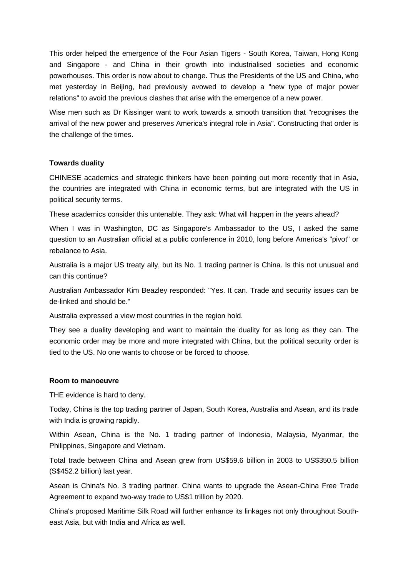This order helped the emergence of the Four Asian Tigers - South Korea, Taiwan, Hong Kong and Singapore - and China in their growth into industrialised societies and economic powerhouses. This order is now about to change. Thus the Presidents of the US and China, who met yesterday in Beijing, had previously avowed to develop a "new type of major power relations" to avoid the previous clashes that arise with the emergence of a new power.

Wise men such as Dr Kissinger want to work towards a smooth transition that "recognises the arrival of the new power and preserves America's integral role in Asia". Constructing that order is the challenge of the times.

## **Towards duality**

CHINESE academics and strategic thinkers have been pointing out more recently that in Asia, the countries are integrated with China in economic terms, but are integrated with the US in political security terms.

These academics consider this untenable. They ask: What will happen in the years ahead?

When I was in Washington, DC as Singapore's Ambassador to the US, I asked the same question to an Australian official at a public conference in 2010, long before America's "pivot" or rebalance to Asia.

Australia is a major US treaty ally, but its No. 1 trading partner is China. Is this not unusual and can this continue?

Australian Ambassador Kim Beazley responded: "Yes. It can. Trade and security issues can be de-linked and should be."

Australia expressed a view most countries in the region hold.

They see a duality developing and want to maintain the duality for as long as they can. The economic order may be more and more integrated with China, but the political security order is tied to the US. No one wants to choose or be forced to choose.

#### **Room to manoeuvre**

THE evidence is hard to deny.

Today, China is the top trading partner of Japan, South Korea, Australia and Asean, and its trade with India is growing rapidly.

Within Asean, China is the No. 1 trading partner of Indonesia, Malaysia, Myanmar, the Philippines, Singapore and Vietnam.

Total trade between China and Asean grew from US\$59.6 billion in 2003 to US\$350.5 billion (S\$452.2 billion) last year.

Asean is China's No. 3 trading partner. China wants to upgrade the Asean-China Free Trade Agreement to expand two-way trade to US\$1 trillion by 2020.

China's proposed Maritime Silk Road will further enhance its linkages not only throughout Southeast Asia, but with India and Africa as well.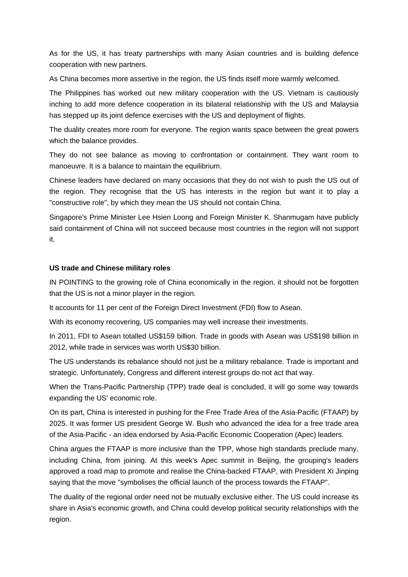As for the US, it has treaty partnerships with many Asian countries and is building defence cooperation with new partners.

As China becomes more assertive in the region, the US finds itself more warmly welcomed.

The Philippines has worked out new military cooperation with the US. Vietnam is cautiously inching to add more defence cooperation in its bilateral relationship with the US and Malaysia has stepped up its joint defence exercises with the US and deployment of flights.

The duality creates more room for everyone. The region wants space between the great powers which the balance provides.

They do not see balance as moving to confrontation or containment. They want room to manoeuvre. It is a balance to maintain the equilibrium.

Chinese leaders have declared on many occasions that they do not wish to push the US out of the region. They recognise that the US has interests in the region but want it to play a "constructive role", by which they mean the US should not contain China.

Singapore's Prime Minister Lee Hsien Loong and Foreign Minister K. Shanmugam have publicly said containment of China will not succeed because most countries in the region will not support it.

### **US trade and Chinese military roles**

IN POINTING to the growing role of China economically in the region, it should not be forgotten that the US is not a minor player in the region.

It accounts for 11 per cent of the Foreign Direct Investment (FDI) flow to Asean.

With its economy recovering, US companies may well increase their investments.

In 2011, FDI to Asean totalled US\$159 billion. Trade in goods with Asean was US\$198 billion in 2012, while trade in services was worth US\$30 billion.

The US understands its rebalance should not just be a military rebalance. Trade is important and strategic. Unfortunately, Congress and different interest groups do not act that way.

When the Trans-Pacific Partnership (TPP) trade deal is concluded, it will go some way towards expanding the US' economic role.

On its part, China is interested in pushing for the Free Trade Area of the Asia-Pacific (FTAAP) by 2025. It was former US president George W. Bush who advanced the idea for a free trade area of the Asia-Pacific - an idea endorsed by Asia-Pacific Economic Cooperation (Apec) leaders.

China argues the FTAAP is more inclusive than the TPP, whose high standards preclude many, including China, from joining. At this week's Apec summit in Beijing, the grouping's leaders approved a road map to promote and realise the China-backed FTAAP, with President Xi Jinping saying that the move "symbolises the official launch of the process towards the FTAAP".

The duality of the regional order need not be mutually exclusive either. The US could increase its share in Asia's economic growth, and China could develop political security relationships with the region.